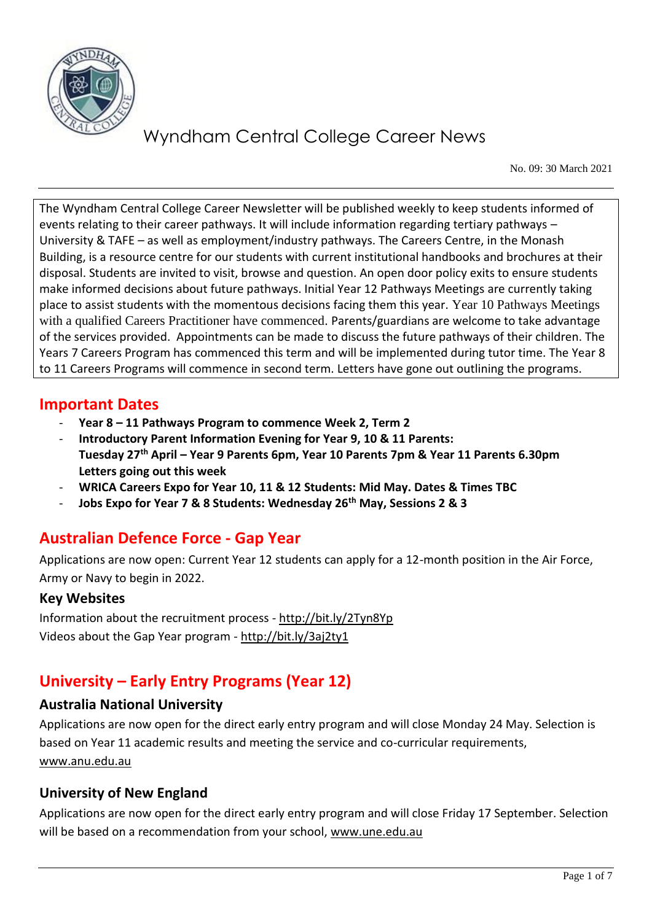

No. 09: 30 March 2021

The Wyndham Central College Career Newsletter will be published weekly to keep students informed of events relating to their career pathways. It will include information regarding tertiary pathways – University & TAFE – as well as employment/industry pathways. The Careers Centre, in the Monash Building, is a resource centre for our students with current institutional handbooks and brochures at their disposal. Students are invited to visit, browse and question. An open door policy exits to ensure students make informed decisions about future pathways. Initial Year 12 Pathways Meetings are currently taking place to assist students with the momentous decisions facing them this year. Year 10 Pathways Meetings with a qualified Careers Practitioner have commenced. Parents/guardians are welcome to take advantage of the services provided. Appointments can be made to discuss the future pathways of their children. The Years 7 Careers Program has commenced this term and will be implemented during tutor time. The Year 8 to 11 Careers Programs will commence in second term. Letters have gone out outlining the programs.

#### **Important Dates**

- **Year 8 – 11 Pathways Program to commence Week 2, Term 2**
- **Introductory Parent Information Evening for Year 9, 10 & 11 Parents: Tuesday 27th April – Year 9 Parents 6pm, Year 10 Parents 7pm & Year 11 Parents 6.30pm Letters going out this week**
- **WRICA Careers Expo for Year 10, 11 & 12 Students: Mid May. Dates & Times TBC**
- **Jobs Expo for Year 7 & 8 Students: Wednesday 26th May, Sessions 2 & 3**

### **Australian Defence Force - Gap Year**

Applications are now open: Current Year 12 students can apply for a 12-month position in the Air Force, Army or Navy to begin in 2022.

#### **Key Websites**

Information about the recruitment process - <http://bit.ly/2Tyn8Yp> Videos about the Gap Year program - <http://bit.ly/3aj2ty1>

## **University – Early Entry Programs (Year 12)**

#### **Australia National University**

Applications are now open for the direct early entry program and will close Monday 24 May. Selection is based on Year 11 academic results and meeting the service and co-curricular requirements, [www.anu.edu.au](http://www.anu.edu.au/) 

#### **University of New England**

Applications are now open for the direct early entry program and will close Friday 17 September. Selection will be based on a recommendation from your school, [www.une.edu.au](http://www.une.edu.au/)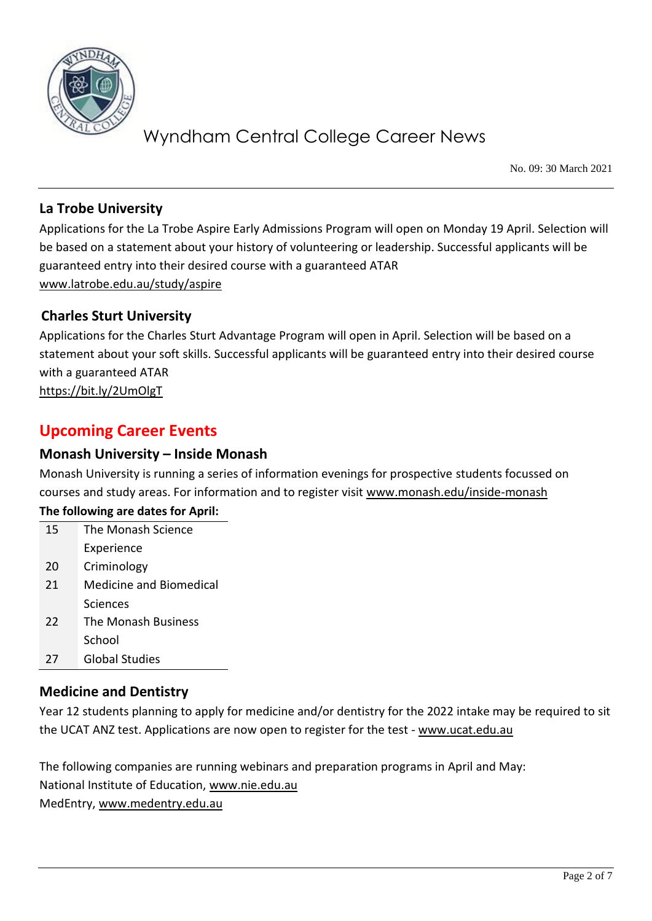

No. 09: 30 March 2021

#### **La Trobe University**

Applications for the La Trobe Aspire Early Admissions Program will open on Monday 19 April. Selection will be based on a statement about your history of volunteering or leadership. Successful applicants will be guaranteed entry into their desired course with a guaranteed ATAR [www.latrobe.edu.au/study/aspire](http://www.latrobe.edu.au/study/aspire)

#### **Charles Sturt University**

Applications for the Charles Sturt Advantage Program will open in April. Selection will be based on a statement about your soft skills. Successful applicants will be guaranteed entry into their desired course with a guaranteed ATAR <https://bit.ly/2UmOlgT>

### **Upcoming Career Events**

#### **Monash University – Inside Monash**

Monash University is running a series of information evenings for prospective students focussed on courses and study areas. For information and to register visit [www.monash.edu/inside-monash](http://www.monash.edu/inside-monash) **The following are dates for April:**

| 15 | The Monash Science             |
|----|--------------------------------|
|    | Experience                     |
| 20 | Criminology                    |
| 21 | <b>Medicine and Biomedical</b> |
|    | Sciences                       |
| 22 | The Monash Business            |
|    | School                         |
| 27 | <b>Global Studies</b>          |

#### **Medicine and Dentistry**

Year 12 students planning to apply for medicine and/or dentistry for the 2022 intake may be required to sit the UCAT ANZ test. Applications are now open to register for the test - [www.ucat.edu.au](http://www.ucat.edu.au/)

The following companies are running webinars and preparation programs in April and May:

National Institute of Education, [www.nie.edu.au](http://www.nie.edu.au/)

MedEntry, [www.medentry.edu.au](http://www.medentry.edu.au/)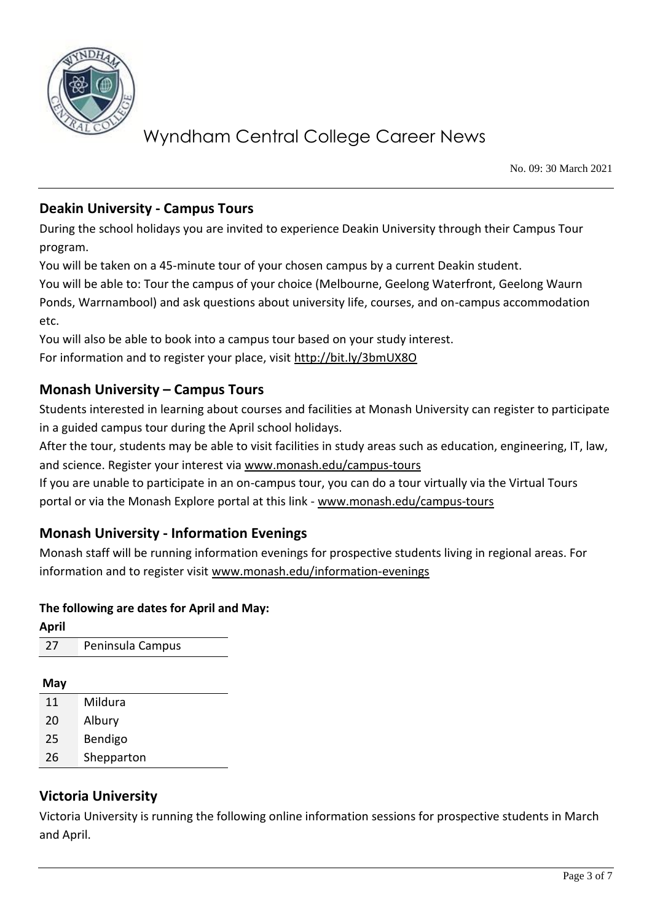

No. 09: 30 March 2021

#### **Deakin University - Campus Tours**

During the school holidays you are invited to experience Deakin University through their Campus Tour program.

You will be taken on a 45-minute tour of your chosen campus by a current Deakin student.

You will be able to: Tour the campus of your choice (Melbourne, Geelong Waterfront, Geelong Waurn Ponds, Warrnambool) and ask questions about university life, courses, and on-campus accommodation etc.

You will also be able to book into a campus tour based on your study interest. For information and to register your place, visit<http://bit.ly/3bmUX8O>

#### **Monash University – Campus Tours**

Students interested in learning about courses and facilities at Monash University can register to participate in a guided campus tour during the April school holidays.

After the tour, students may be able to visit facilities in study areas such as education, engineering, IT, law, and science. Register your interest via [www.monash.edu/campus-tours](http://www.monash.edu/campus-tours)

If you are unable to participate in an on-campus tour, you can do a tour virtually via the Virtual Tours portal or via the Monash Explore portal at this link - [www.monash.edu/campus-tours](http://www.monash.edu/campus-tours)

### **Monash University - Information Evenings**

Monash staff will be running information evenings for prospective students living in regional areas. For information and to register visit [www.monash.edu/information-evenings](http://www.monash.edu/information-evenings)

#### **The following are dates for April and May:**

| <b>April</b> |                  |
|--------------|------------------|
| 27           | Peninsula Campus |
|              |                  |

- **May**
- 11 Mildura 20 Albury
- 25 Bendigo
- 26 Shepparton

### **Victoria University**

Victoria University is running the following online information sessions for prospective students in March and April.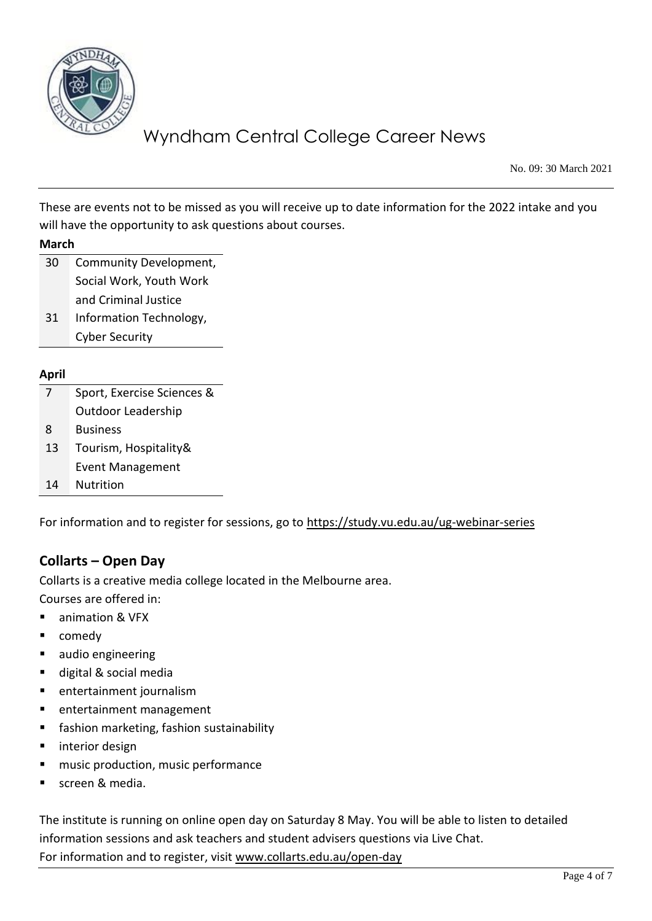

No. 09: 30 March 2021

These are events not to be missed as you will receive up to date information for the 2022 intake and you will have the opportunity to ask questions about courses.

| March |
|-------|
|-------|

- 30 Community Development, Social Work, Youth Work and Criminal Justice
- 31 Information Technology, Cyber Security

#### **April**

|    | Sport, Exercise Sciences & |
|----|----------------------------|
|    | <b>Outdoor Leadership</b>  |
| 8  | <b>Business</b>            |
| 13 | Tourism, Hospitality&      |
|    | <b>Event Management</b>    |
| 14 | Nutrition                  |
|    |                            |

For information and to register for sessions, go to<https://study.vu.edu.au/ug-webinar-series>

#### **Collarts – Open Day**

Collarts is a creative media college located in the Melbourne area.

Courses are offered in:

- animation & VFX
- comedy
- audio engineering
- digital & social media
- entertainment journalism
- entertainment management
- fashion marketing, fashion sustainability
- interior design
- music production, music performance
- screen & media.

The institute is running on online open day on Saturday 8 May. You will be able to listen to detailed information sessions and ask teachers and student advisers questions via Live Chat. For information and to register, visit [www.collarts.edu.au/open-day](http://www.collarts.edu.au/open-day)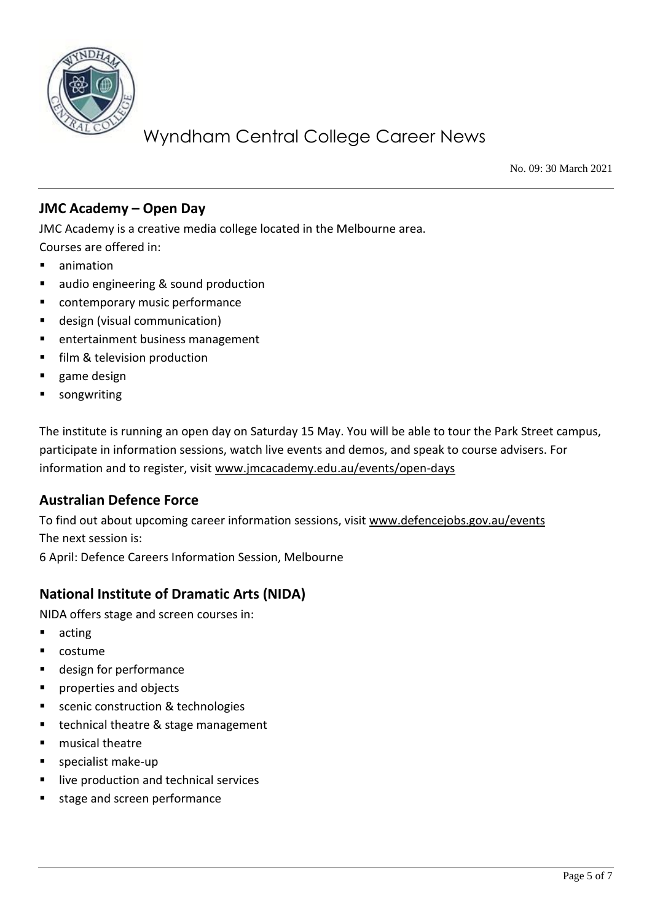

No. 09: 30 March 2021

#### **JMC Academy – Open Day**

JMC Academy is a creative media college located in the Melbourne area.

- Courses are offered in:
- animation
- audio engineering & sound production
- contemporary music performance
- design (visual communication)
- entertainment business management
- film & television production
- game design
- songwriting

The institute is running an open day on Saturday 15 May. You will be able to tour the Park Street campus, participate in information sessions, watch live events and demos, and speak to course advisers. For information and to register, visit [www.jmcacademy.edu.au/events/open-days](http://www.jmcacademy.edu.au/events/open-days)

#### **Australian Defence Force**

To find out about upcoming career information sessions, visit [www.defencejobs.gov.au/events](http://www.defencejobs.gov.au/events) The next session is: 6 April: Defence Careers Information Session, Melbourne

## **National Institute of Dramatic Arts (NIDA)**

NIDA offers stage and screen courses in:

- acting
- costume
- design for performance
- properties and objects
- scenic construction & technologies
- technical theatre & stage management
- musical theatre
- specialist make-up
- live production and technical services
- stage and screen performance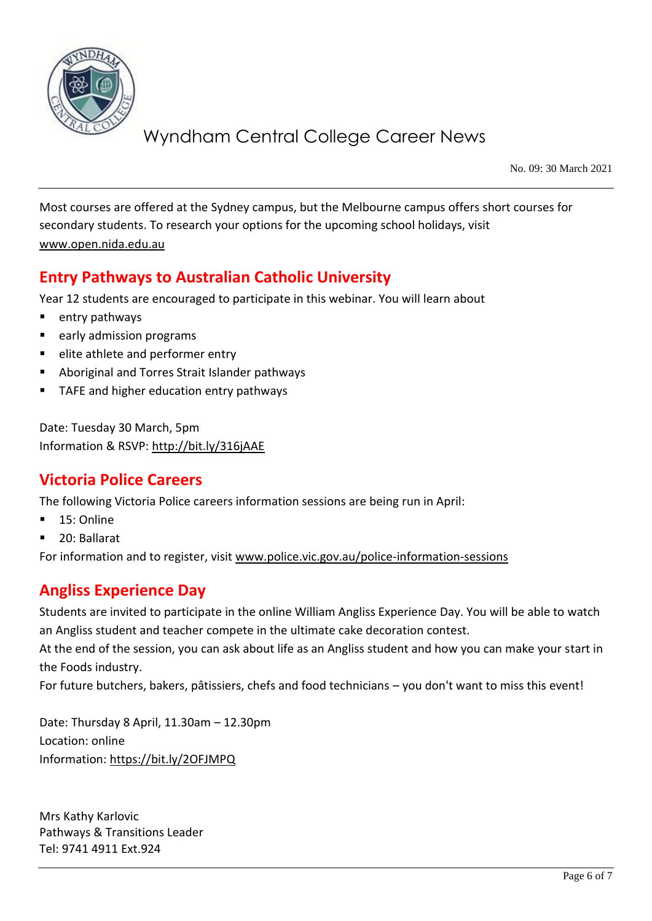

No. 09: 30 March 2021

Most courses are offered at the Sydney campus, but the Melbourne campus offers short courses for secondary students. To research your options for the upcoming school holidays, visit [www.open.nida.edu.au](http://www.open.nida.edu.au/)

## **Entry Pathways to Australian Catholic University**

Year 12 students are encouraged to participate in this webinar. You will learn about

- entry pathways
- early admission programs
- elite athlete and performer entry
- Aboriginal and Torres Strait Islander pathways
- TAFE and higher education entry pathways

Date: Tuesday 30 March, 5pm Information & RSVP:<http://bit.ly/316jAAE>

### **Victoria Police Careers**

The following Victoria Police careers information sessions are being run in April:

- 15: Online
- 20: Ballarat

For information and to register, visit [www.police.vic.gov.au/police-information-sessions](http://www.police.vic.gov.au/police-information-sessions)

### **Angliss Experience Day**

Students are invited to participate in the online William Angliss Experience Day. You will be able to watch an Angliss student and teacher compete in the ultimate cake decoration contest.

At the end of the session, you can ask about life as an Angliss student and how you can make your start in the Foods industry.

For future butchers, bakers, pâtissiers, chefs and food technicians – you don't want to miss this event!

Date: Thursday 8 April, 11.30am – 12.30pm Location: online Information:<https://bit.ly/2OFJMPQ>

Mrs Kathy Karlovic Pathways & Transitions Leader Tel: 9741 4911 Ext.924